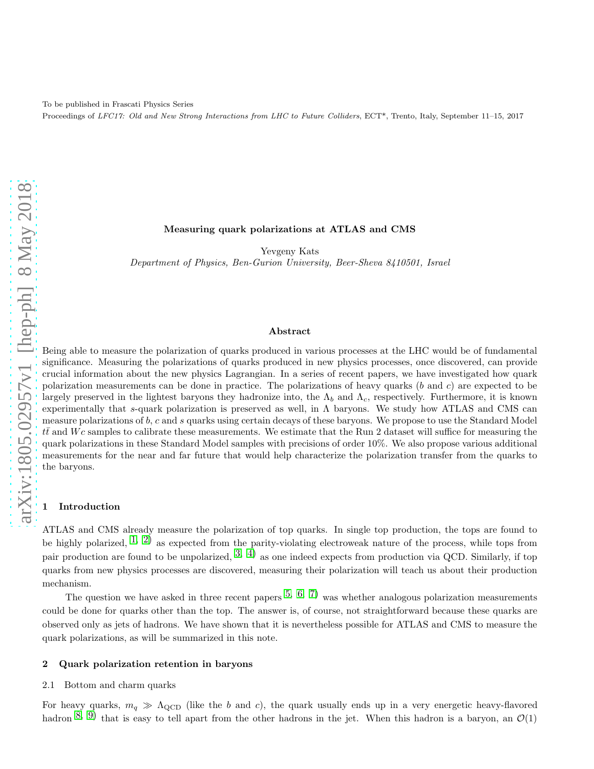To be published in Frascati Physics Series Proceedings of LFC17: Old and New Strong Interactions from LHC to Future Colliders, ECT\*, Trento, Italy, September 11–15, 2017

## Measuring quark polarizations at ATLAS and CMS

Yevgeny Kats Department of Physics, Ben-Gurion University, Beer-Sheva 8410501, Israel

### Abstract

Being able to measure the polarization of quarks produced in various processes at the LHC would be of fundamental significance. Measuring the polarizations of quarks produced in new physics processes, once discovered, can provide crucial information about the new physics Lagrangian. In a series of recent papers, we have investigated how quark polarization measurements can be done in practice. The polarizations of heavy quarks  $(b \text{ and } c)$  are expected to be largely preserved in the lightest baryons they hadronize into, the  $\Lambda_b$  and  $\Lambda_c$ , respectively. Furthermore, it is known experimentally that s-quark polarization is preserved as well, in  $\Lambda$  baryons. We study how ATLAS and CMS can measure polarizations of  $b$ , c and s quarks using certain decays of these baryons. We propose to use the Standard Model  $t\bar{t}$  and Wc samples to calibrate these measurements. We estimate that the Run 2 dataset will suffice for measuring the quark polarizations in these Standard Model samples with precisions of order 10%. We also propose various additional measurements for the near and far future that would help characterize the polarization transfer from the quarks to the baryons.

### **Introduction**

ATLAS and CMS already measure the polarization of top quarks. In single top production, the tops are found to be highly polarized,  $(1, 2)$  $(1, 2)$  $(1, 2)$  $(1, 2)$  as expected from the parity-violating electroweak nature of the process, while tops from pair production are found to be unpolarized,  $3, 4$  $3, 4$ ) as one indeed expects from production via QCD. Similarly, if top quarks from new physics processes are discovered, measuring their polarization will teach us about their production mechanism.

The question we have asked in three recent papers  $5, 6, 7$  $5, 6, 7$  $5, 6, 7$  $5, 6, 7$  was whether analogous polarization measurements could be done for quarks other than the top. The answer is, of course, not straightforward because these quarks are observed only as jets of hadrons. We have shown that it is nevertheless possible for ATLAS and CMS to measure the quark polarizations, as will be summarized in this note.

#### 2 Quark polarization retention in baryons

#### 2.1 Bottom and charm quarks

For heavy quarks,  $m_q \gg \Lambda_{\rm QCD}$  (like the b and c), the quark usually ends up in a very energetic heavy-flavored hadron  $\left(8, 9\right)$  $\left(8, 9\right)$  $\left(8, 9\right)$  that is easy to tell apart from the other hadrons in the jet. When this hadron is a baryon, an  $\mathcal{O}(1)$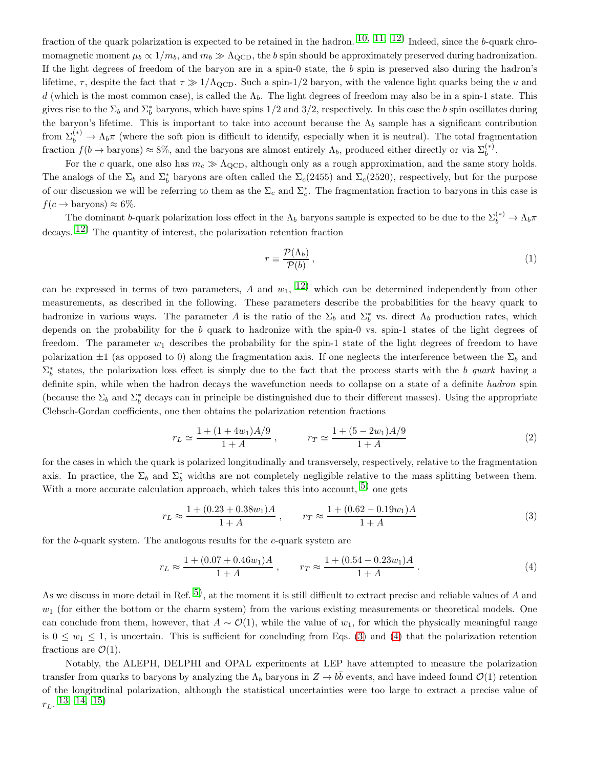fraction of the quark polarization is expected to be retained in the hadron.  $10, 11, 12)$  $10, 11, 12)$  $10, 11, 12)$  $10, 11, 12)$  $10, 11, 12)$  Indeed, since the b-quark chromomagnetic moment  $\mu_b \propto 1/m_b$ , and  $m_b \gg \Lambda_{\text{QCD}}$ , the b spin should be approximately preserved during hadronization. If the light degrees of freedom of the baryon are in a spin-0 state, the b spin is preserved also during the hadron's lifetime,  $\tau$ , despite the fact that  $\tau \gg 1/\Lambda_{\rm QCD}$ . Such a spin-1/2 baryon, with the valence light quarks being the u and d (which is the most common case), is called the  $\Lambda_b$ . The light degrees of freedom may also be in a spin-1 state. This gives rise to the  $\Sigma_b$  and  $\Sigma_b^*$  baryons, which have spins 1/2 and 3/2, respectively. In this case the b spin oscillates during the baryon's lifetime. This is important to take into account because the  $\Lambda_b$  sample has a significant contribution from  $\Sigma_b^{(*)} \to \Lambda_b \pi$  (where the soft pion is difficult to identify, especially when it is neutral). The total fragmentation fraction  $f(b \to baryons) \approx 8\%$ , and the baryons are almost entirely  $\Lambda_b$ , produced either directly or via  $\Sigma_b^{(*)}$ .

For the c quark, one also has  $m_c \gg \Lambda_{\rm QCD}$ , although only as a rough approximation, and the same story holds. The analogs of the  $\Sigma_b$  and  $\Sigma_b^*$  baryons are often called the  $\Sigma_c(2455)$  and  $\Sigma_c(2520)$ , respectively, but for the purpose of our discussion we will be referring to them as the  $\Sigma_c$  and  $\Sigma_c^*$ . The fragmentation fraction to baryons in this case is  $f(c \rightarrow baryons) \approx 6\%.$ 

The dominant b-quark polarization loss effect in the  $\Lambda_b$  baryons sample is expected to be due to the  $\Sigma_b^{(*)} \to \Lambda_b \pi$ decays. [12\)](#page-5-7) The quantity of interest, the polarization retention fraction

$$
r \equiv \frac{\mathcal{P}(\Lambda_b)}{\mathcal{P}(b)},\tag{1}
$$

can be expressed in terms of two parameters, A and  $w_1$ ,  $12)$  which can be determined independently from other measurements, as described in the following. These parameters describe the probabilities for the heavy quark to hadronize in various ways. The parameter A is the ratio of the  $\Sigma_b$  and  $\Sigma_b^*$  vs. direct  $\Lambda_b$  production rates, which depends on the probability for the b quark to hadronize with the spin-0 vs. spin-1 states of the light degrees of freedom. The parameter  $w_1$  describes the probability for the spin-1 state of the light degrees of freedom to have polarization  $\pm 1$  (as opposed to 0) along the fragmentation axis. If one neglects the interference between the  $\Sigma_b$  and  $\Sigma_b^*$  states, the polarization loss effect is simply due to the fact that the process starts with the b quark having a definite spin, while when the hadron decays the wavefunction needs to collapse on a state of a definite hadron spin (because the  $\Sigma_b$  and  $\Sigma_b^*$  decays can in principle be distinguished due to their different masses). Using the appropriate Clebsch-Gordan coefficients, one then obtains the polarization retention fractions

$$
r_L \simeq \frac{1 + (1 + 4w_1)A/9}{1 + A} , \qquad \qquad r_T \simeq \frac{1 + (5 - 2w_1)A/9}{1 + A} \tag{2}
$$

for the cases in which the quark is polarized longitudinally and transversely, respectively, relative to the fragmentation axis. In practice, the  $\Sigma_b$  and  $\Sigma_b^*$  widths are not completely negligible relative to the mass splitting between them. With a more accurate calculation approach, which takes this into account,  $5)$  one gets

<span id="page-1-0"></span>
$$
r_L \approx \frac{1 + (0.23 + 0.38w_1)A}{1 + A}, \qquad r_T \approx \frac{1 + (0.62 - 0.19w_1)A}{1 + A}
$$
(3)

for the b-quark system. The analogous results for the c-quark system are

<span id="page-1-1"></span>
$$
r_L \approx \frac{1 + (0.07 + 0.46w_1)A}{1 + A} , \qquad r_T \approx \frac{1 + (0.54 - 0.23w_1)A}{1 + A} . \tag{4}
$$

As we discuss in more detail in Ref.  $5$ , at the moment it is still difficult to extract precise and reliable values of A and  $w_1$  (for either the bottom or the charm system) from the various existing measurements or theoretical models. One can conclude from them, however, that  $A \sim \mathcal{O}(1)$ , while the value of  $w_1$ , for which the physically meaningful range is  $0 \leq w_1 \leq 1$ , is uncertain. This is sufficient for concluding from Eqs. [\(3\)](#page-1-0) and [\(4\)](#page-1-1) that the polarization retention fractions are  $\mathcal{O}(1)$ .

Notably, the ALEPH, DELPHI and OPAL experiments at LEP have attempted to measure the polarization transfer from quarks to baryons by analyzing the  $\Lambda_b$  baryons in  $Z \to b\bar{b}$  events, and have indeed found  $\mathcal{O}(1)$  retention of the longitudinal polarization, although the statistical uncertainties were too large to extract a precise value of  $r_L$ . [13](#page-5-8), [14](#page-5-9), [15\)](#page-5-10)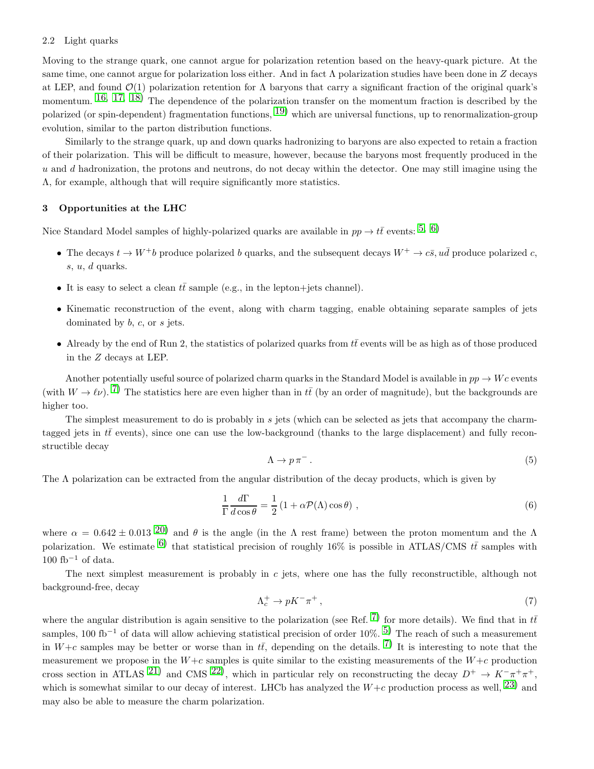#### 2.2 Light quarks

Moving to the strange quark, one cannot argue for polarization retention based on the heavy-quark picture. At the same time, one cannot argue for polarization loss either. And in fact  $\Lambda$  polarization studies have been done in Z decays at LEP, and found  $\mathcal{O}(1)$  polarization retention for  $\Lambda$  baryons that carry a significant fraction of the original quark's momentum. <sup>[16](#page-5-11), [17](#page-5-12), 18</sup>) The dependence of the polarization transfer on the momentum fraction is described by the polarized (or spin-dependent) fragmentation functions,  $19$ ) which are universal functions, up to renormalization-group evolution, similar to the parton distribution functions.

Similarly to the strange quark, up and down quarks hadronizing to baryons are also expected to retain a fraction of their polarization. This will be difficult to measure, however, because the baryons most frequently produced in the  $u$  and  $d$  hadronization, the protons and neutrons, do not decay within the detector. One may still imagine using the Λ, for example, although that will require significantly more statistics.

# 3 Opportunities at the LHC

Nice Standard Model samples of highly-polarized quarks are available in  $pp \to t\bar{t}$  events: <sup>[5](#page-5-0), [6\)](#page-5-1)</sup>

- The decays  $t \to W^+b$  produce polarized b quarks, and the subsequent decays  $W^+ \to c\bar{s}$ ,  $u\bar{d}$  produce polarized c,  $s, u, d$  quarks.
- It is easy to select a clean  $t\bar{t}$  sample (e.g., in the lepton+jets channel).
- Kinematic reconstruction of the event, along with charm tagging, enable obtaining separate samples of jets dominated by b, c, or s jets.
- Already by the end of Run 2, the statistics of polarized quarks from  $t\bar{t}$  events will be as high as of those produced in the Z decays at LEP.

Another potentially useful source of polarized charm quarks in the Standard Model is available in  $pp \to Wc$  events (with  $W \to \ell \nu$ ). <sup>7</sup>) The statistics here are even higher than in  $t\bar{t}$  (by an order of magnitude), but the backgrounds are higher too.

The simplest measurement to do is probably in s jets (which can be selected as jets that accompany the charmtagged jets in  $t\bar{t}$  events), since one can use the low-background (thanks to the large displacement) and fully reconstructible decay

$$
\Lambda \to p \,\pi^- \,. \tag{5}
$$

The  $\Lambda$  polarization can be extracted from the angular distribution of the decay products, which is given by

$$
\frac{1}{\Gamma} \frac{d\Gamma}{d\cos\theta} = \frac{1}{2} \left( 1 + \alpha \mathcal{P}(\Lambda) \cos\theta \right) ,\qquad (6)
$$

where  $\alpha = 0.642 \pm 0.013$   $^{20}$  and  $\theta$  is the angle (in the  $\Lambda$  rest frame) between the proton momentum and the  $\Lambda$ polarization. We estimate <sup>[6\)](#page-5-1)</sup> that statistical precision of roughly 16% is possible in ATLAS/CMS  $t\bar{t}$  samples with  $100$  fb<sup>-1</sup> of data.

The next simplest measurement is probably in  $c$  jets, where one has the fully reconstructible, although not background-free, decay

$$
\Lambda_c^+ \to pK^- \pi^+ \,,\tag{7}
$$

where the angular distribution is again sensitive to the polarization (see Ref.  $\binom{7}{1}$  for more details). We find that in  $t\bar{t}$ samples, 100 fb<sup>-1</sup> of data will allow achieving statistical precision of order 10%. <sup>[5\)](#page-5-0)</sup> The reach of such a measurement in  $W+c$  samples may be better or worse than in  $t\bar{t}$ , depending on the details. <sup>7</sup>) It is interesting to note that the measurement we propose in the  $W+c$  samples is quite similar to the existing measurements of the  $W+c$  production cross section in ATLAS <sup>[21\)](#page-5-16)</sup> and CMS <sup>22</sup>, which in particular rely on reconstructing the decay  $D^+ \to K^-\pi^+\pi^+$ , which is somewhat similar to our decay of interest. LHCb has analyzed the  $W+c$  production process as well,  $^{23)}$  $^{23)}$  $^{23)}$  and may also be able to measure the charm polarization.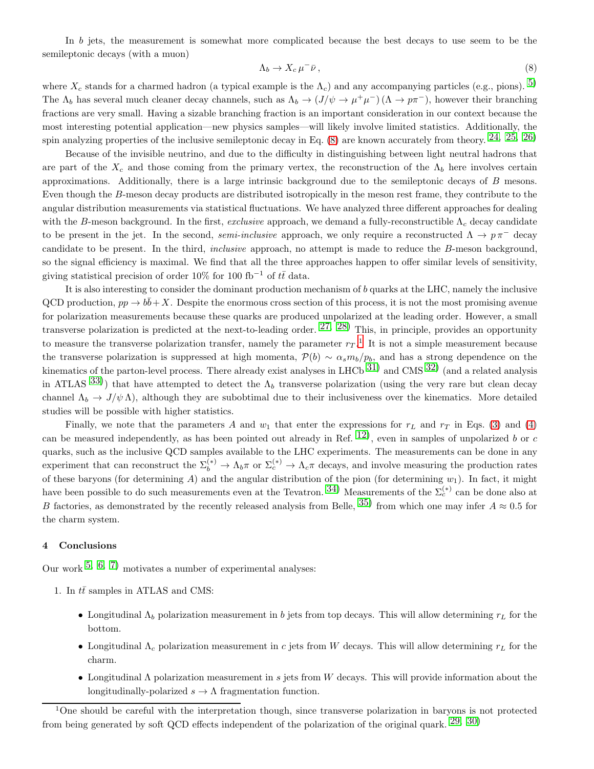In b jets, the measurement is somewhat more complicated because the best decays to use seem to be the semileptonic decays (with a muon)

<span id="page-3-0"></span>
$$
\Lambda_b \to X_c \,\mu^- \bar{\nu}\,,\tag{8}
$$

where  $X_c$  stands for a charmed hadron (a typical example is the  $\Lambda_c$ ) and any accompanying particles (e.g., pions). <sup>[5\)](#page-5-0)</sup> The  $\Lambda_b$  has several much cleaner decay channels, such as  $\Lambda_b \to (J/\psi \to \mu^+\mu^-)$  ( $\Lambda \to p\pi^-$ ), however their branching fractions are very small. Having a sizable branching fraction is an important consideration in our context because the most interesting potential application—new physics samples—will likely involve limited statistics. Additionally, the spin analyzing properties of the inclusive semileptonic decay in Eq.  $(8)$  are known accurately from theory.  $24, 25, 26$  $24, 25, 26$  $24, 25, 26$  $24, 25, 26$ )

Because of the invisible neutrino, and due to the difficulty in distinguishing between light neutral hadrons that are part of the  $X_c$  and those coming from the primary vertex, the reconstruction of the  $\Lambda_b$  here involves certain approximations. Additionally, there is a large intrinsic background due to the semileptonic decays of B mesons. Even though the B-meson decay products are distributed isotropically in the meson rest frame, they contribute to the angular distribution measurements via statistical fluctuations. We have analyzed three different approaches for dealing with the B-meson background. In the first, exclusive approach, we demand a fully-reconstructible  $\Lambda_c$  decay candidate to be present in the jet. In the second, semi-inclusive approach, we only require a reconstructed  $\Lambda \to p \pi^-$  decay candidate to be present. In the third, inclusive approach, no attempt is made to reduce the B-meson background, so the signal efficiency is maximal. We find that all the three approaches happen to offer similar levels of sensitivity, giving statistical precision of order 10% for 100 fb<sup>-1</sup> of  $t\bar{t}$  data.

It is also interesting to consider the dominant production mechanism of b quarks at the LHC, namely the inclusive QCD production,  $pp \to b\bar{b}+X$ . Despite the enormous cross section of this process, it is not the most promising avenue for polarization measurements because these quarks are produced unpolarized at the leading order. However, a small transverse polarization is predicted at the next-to-leading order.  $^{27, 28)}$  $^{27, 28)}$  $^{27, 28)}$  $^{27, 28)}$  $^{27, 28)}$  This, in principle, provides an opportunity to measure the transverse polarization transfer, namely the parameter  $r_T$ .<sup>[1](#page-3-1)</sup> It is not a simple measurement because the transverse polarization is suppressed at high momenta,  $\mathcal{P}(b) \sim \alpha_s m_b/p_b$ , and has a strong dependence on the kinematics of the parton-level process. There already exist analyses in LHCb  $31)$  and CMS  $32)$  (and a related analysis in ATLAS  $^{33)}$  $^{33)}$  $^{33)}$ ) that have attempted to detect the  $\Lambda_b$  transverse polarization (using the very rare but clean decay channel  $\Lambda_b \to J/\psi \Lambda$ ), although they are subobtimal due to their inclusiveness over the kinematics. More detailed studies will be possible with higher statistics.

Finally, we note that the parameters A and  $w_1$  that enter the expressions for  $r<sub>L</sub>$  and  $r<sub>T</sub>$  in Eqs. [\(3\)](#page-1-0) and [\(4\)](#page-1-1) can be measured independently, as has been pointed out already in Ref.  $^{12}$ ), even in samples of unpolarized b or c quarks, such as the inclusive QCD samples available to the LHC experiments. The measurements can be done in any experiment that can reconstruct the  $\Sigma_b^{(*)} \to \Lambda_b \pi$  or  $\Sigma_c^{(*)} \to \Lambda_c \pi$  decays, and involve measuring the production rates of these baryons (for determining A) and the angular distribution of the pion (for determining  $w_1$ ). In fact, it might have been possible to do such measurements even at the Tevatron. [34\)](#page-5-27) Measurements of the  $\Sigma_c^{(*)}$  can be done also at B factories, as demonstrated by the recently released analysis from Belle,  $35$ ) from which one may infer  $A \approx 0.5$  for the charm system.

## 4 Conclusions

Our work  $5, 6, 7$  $5, 6, 7$  $5, 6, 7$  $5, 6, 7$  motivates a number of experimental analyses:

- 1. In  $t\bar{t}$  samples in ATLAS and CMS:
	- Longitudinal  $\Lambda_b$  polarization measurement in b jets from top decays. This will allow determining  $r_L$  for the bottom.
	- Longitudinal  $\Lambda_c$  polarization measurement in c jets from W decays. This will allow determining  $r<sub>L</sub>$  for the charm.
	- Longitudinal  $\Lambda$  polarization measurement in s jets from W decays. This will provide information about the longitudinally-polarized  $s \to \Lambda$  fragmentation function.

<span id="page-3-1"></span><sup>&</sup>lt;sup>1</sup>One should be careful with the interpretation though, since transverse polarization in baryons is not protected from being generated by soft QCD effects independent of the polarization of the original quark.  $29, 30$  $29, 30$ )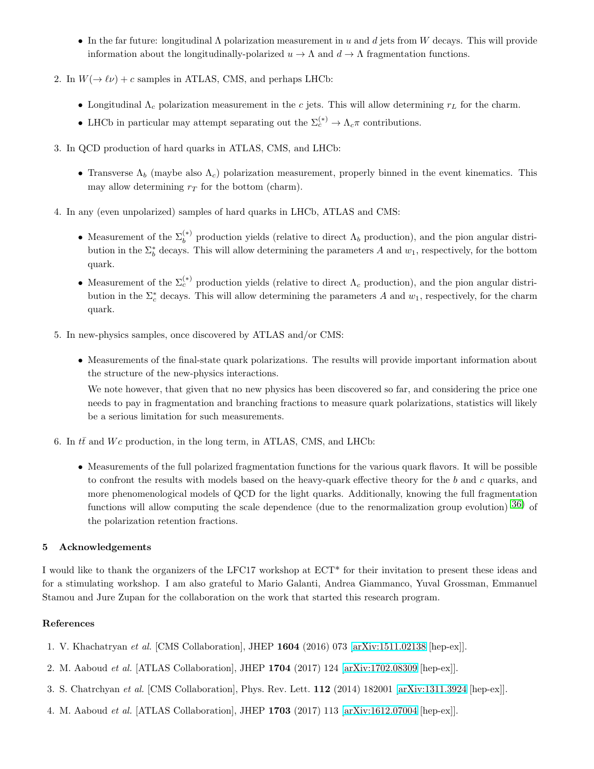- In the far future: longitudinal  $\Lambda$  polarization measurement in u and d jets from W decays. This will provide information about the longitudinally-polarized  $u \to \Lambda$  and  $d \to \Lambda$  fragmentation functions.
- 2. In  $W(\rightarrow \ell \nu) + c$  samples in ATLAS, CMS, and perhaps LHCb:
	- Longitudinal  $\Lambda_c$  polarization measurement in the c jets. This will allow determining  $r<sub>L</sub>$  for the charm.
	- LHCb in particular may attempt separating out the  $\Sigma_c^{(*)} \to \Lambda_c \pi$  contributions.
- 3. In QCD production of hard quarks in ATLAS, CMS, and LHCb:
	- Transverse  $\Lambda_b$  (maybe also  $\Lambda_c$ ) polarization measurement, properly binned in the event kinematics. This may allow determining  $r<sub>T</sub>$  for the bottom (charm).
- 4. In any (even unpolarized) samples of hard quarks in LHCb, ATLAS and CMS:
	- Measurement of the  $\Sigma_b^{(*)}$  production yields (relative to direct  $\Lambda_b$  production), and the pion angular distribution in the  $\Sigma_b^*$  decays. This will allow determining the parameters A and  $w_1$ , respectively, for the bottom quark.
	- Measurement of the  $\Sigma_c^{(*)}$  production yields (relative to direct  $\Lambda_c$  production), and the pion angular distribution in the  $\Sigma_c^*$  decays. This will allow determining the parameters A and  $w_1$ , respectively, for the charm quark.
- 5. In new-physics samples, once discovered by ATLAS and/or CMS:
	- Measurements of the final-state quark polarizations. The results will provide important information about the structure of the new-physics interactions.

We note however, that given that no new physics has been discovered so far, and considering the price one needs to pay in fragmentation and branching fractions to measure quark polarizations, statistics will likely be a serious limitation for such measurements.

- 6. In  $t\bar{t}$  and  $Wc$  production, in the long term, in ATLAS, CMS, and LHCb:
	- Measurements of the full polarized fragmentation functions for the various quark flavors. It will be possible to confront the results with models based on the heavy-quark effective theory for the  $b$  and  $c$  quarks, and more phenomenological models of QCD for the light quarks. Additionally, knowing the full fragmentation functions will allow computing the scale dependence (due to the renormalization group evolution)  $36$ ) of the polarization retention fractions.

# 5 Acknowledgements

I would like to thank the organizers of the LFC17 workshop at ECT\* for their invitation to present these ideas and for a stimulating workshop. I am also grateful to Mario Galanti, Andrea Giammanco, Yuval Grossman, Emmanuel Stamou and Jure Zupan for the collaboration on the work that started this research program.

## <span id="page-4-0"></span>References

- <span id="page-4-1"></span>1. V. Khachatryan et al. [CMS Collaboration], JHEP 1604 (2016) 073 [\[arXiv:1511.02138](http://arxiv.org/abs/1511.02138) [hep-ex]].
- <span id="page-4-2"></span>2. M. Aaboud et al. [ATLAS Collaboration], JHEP 1704 (2017) 124 [\[arXiv:1702.08309](http://arxiv.org/abs/1702.08309) [hep-ex]].
- <span id="page-4-3"></span>3. S. Chatrchyan et al. [CMS Collaboration], Phys. Rev. Lett. 112 (2014) 182001 [\[arXiv:1311.3924](http://arxiv.org/abs/1311.3924) [hep-ex]].
- 4. M. Aaboud et al. [ATLAS Collaboration], JHEP 1703 (2017) 113 [\[arXiv:1612.07004](http://arxiv.org/abs/1612.07004) [hep-ex]].